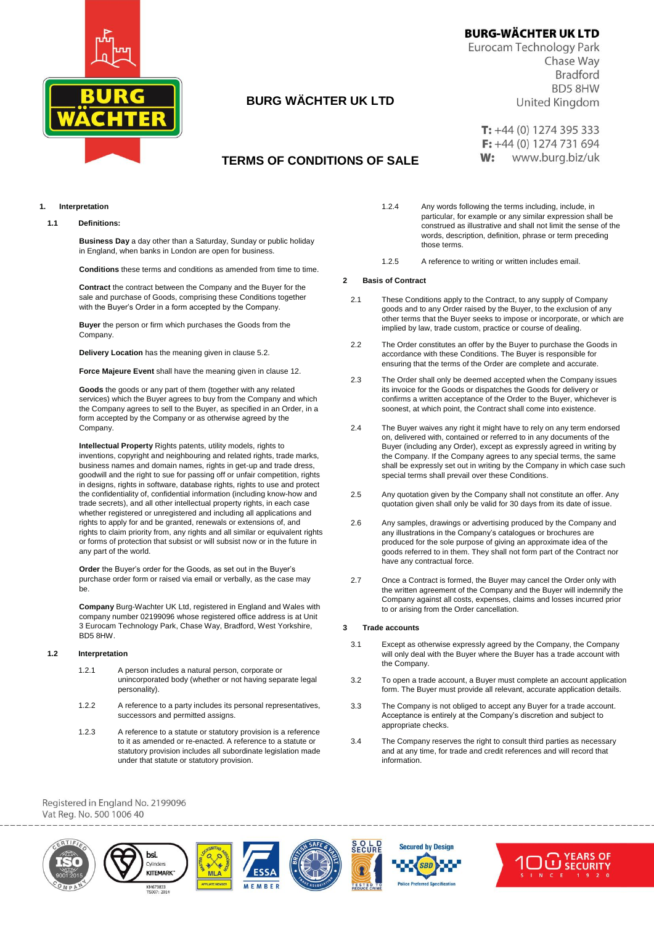

# **BURG WÄCHTER UK LTD**

**BURG-WÄCHTER UK LTD** 

Eurocam Technology Park Chase Way **Bradford BD5 8HW** United Kingdom

 $T: +44(0)$  1274 395 333  $F: +44(0)$  1274 731 694  $W:$ www.burg.biz/uk

# **TERMS OF CONDITIONS OF SALE**

**1. Interpretation**

## **1.1 Definitions:**

**Business Day** a day other than a Saturday, Sunday or public holiday in England, when banks in London are open for business.

**Conditions** these terms and conditions as amended from time to time.

**Contract** the contract between the Company and the Buyer for the sale and purchase of Goods, comprising these Conditions together with the Buyer's Order in a form accepted by the Company.

**Buyer** the person or firm which purchases the Goods from the Company.

**Delivery Location** has the meaning given in clause 5.2.

**Force Majeure Event** shall have the meaning given in clause 12.

**Goods** the goods or any part of them (together with any related services) which the Buyer agrees to buy from the Company and which the Company agrees to sell to the Buyer, as specified in an Order, in a form accepted by the Company or as otherwise agreed by the Company.

**Intellectual Property** Rights patents, utility models, rights to inventions, copyright and neighbouring and related rights, trade marks, business names and domain names, rights in get-up and trade dress, goodwill and the right to sue for passing off or unfair competition, rights in designs, rights in software, database rights, rights to use and protect the confidentiality of, confidential information (including know-how and trade secrets), and all other intellectual property rights, in each case whether registered or unregistered and including all applications and rights to apply for and be granted, renewals or extensions of, and rights to claim priority from, any rights and all similar or equivalent rights or forms of protection that subsist or will subsist now or in the future in any part of the world.

**Order** the Buyer's order for the Goods, as set out in the Buyer's purchase order form or raised via email or verbally, as the case may be.

**Company** Burg-Wachter UK Ltd, registered in England and Wales with company number 02199096 whose registered office address is at Unit 3 Eurocam Technology Park, Chase Way, Bradford, West Yorkshire, BD5 8HW.

#### **1.2 Interpretation**

- 1.2.1 A person includes a natural person, corporate or unincorporated body (whether or not having separate legal personality).
- 1.2.2 A reference to a party includes its personal representatives, successors and permitted assigns.
- 1.2.3 A reference to a statute or statutory provision is a reference to it as amended or re-enacted. A reference to a statute or statutory provision includes all subordinate legislation made under that statute or statutory provision.
- 1.2.4 Any words following the terms including, include, in particular, for example or any similar expression shall be construed as illustrative and shall not limit the sense of the words, description, definition, phrase or term preceding those terms.
- 1.2.5 A reference to writing or written includes email.

#### **2 Basis of Contract**

- 2.1 These Conditions apply to the Contract, to any supply of Company goods and to any Order raised by the Buyer, to the exclusion of any other terms that the Buyer seeks to impose or incorporate, or which are implied by law, trade custom, practice or course of dealing.
- 2.2 The Order constitutes an offer by the Buyer to purchase the Goods in accordance with these Conditions. The Buyer is responsible for ensuring that the terms of the Order are complete and accurate.
- 2.3 The Order shall only be deemed accepted when the Company issues its invoice for the Goods or dispatches the Goods for delivery or confirms a written acceptance of the Order to the Buyer, whichever is soonest, at which point, the Contract shall come into existence.
- 2.4 The Buyer waives any right it might have to rely on any term endorsed on, delivered with, contained or referred to in any documents of the Buyer (including any Order), except as expressly agreed in writing by the Company. If the Company agrees to any special terms, the same shall be expressly set out in writing by the Company in which case such special terms shall prevail over these Conditions.
- 2.5 Any quotation given by the Company shall not constitute an offer. Any quotation given shall only be valid for 30 days from its date of issue.
- 2.6 Any samples, drawings or advertising produced by the Company and any illustrations in the Company's catalogues or brochures are produced for the sole purpose of giving an approximate idea of the goods referred to in them. They shall not form part of the Contract nor have any contractual force.
- 2.7 Once a Contract is formed, the Buyer may cancel the Order only with the written agreement of the Company and the Buyer will indemnify the Company against all costs, expenses, claims and losses incurred prior to or arising from the Order cancellation.

#### **3 Trade accounts**

- 3.1 Except as otherwise expressly agreed by the Company, the Company will only deal with the Buyer where the Buyer has a trade account with the Company.
- 3.2 To open a trade account, a Buyer must complete an account application form. The Buyer must provide all relevant, accurate application details.
- 3.3 The Company is not obliged to accept any Buyer for a trade account. Acceptance is entirely at the Company's discretion and subject to appropriate checks.
- 3.4 The Company reserves the right to consult third parties as necessary and at any time, for trade and credit references and will record that information.



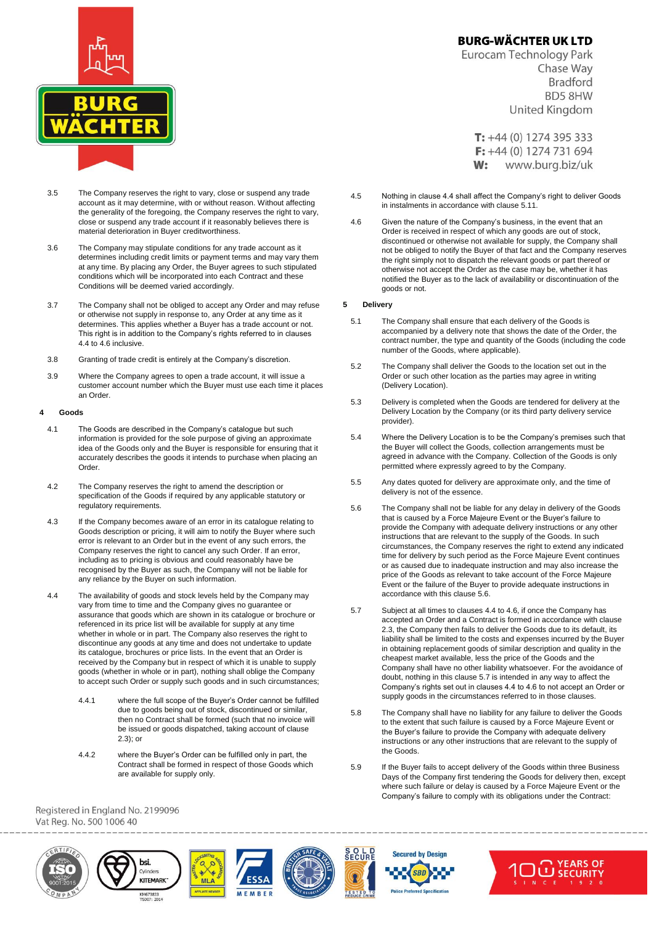

- 3.5 The Company reserves the right to vary, close or suspend any trade account as it may determine, with or without reason. Without affecting the generality of the foregoing, the Company reserves the right to vary, close or suspend any trade account if it reasonably believes there is material deterioration in Buyer creditworthiness.
- 3.6 The Company may stipulate conditions for any trade account as it determines including credit limits or payment terms and may vary them at any time. By placing any Order, the Buyer agrees to such stipulated conditions which will be incorporated into each Contract and these Conditions will be deemed varied accordingly.
- 3.7 The Company shall not be obliged to accept any Order and may refuse or otherwise not supply in response to, any Order at any time as it determines. This applies whether a Buyer has a trade account or not. This right is in addition to the Company's rights referred to in clauses 4.4 to 4.6 inclusive.
- 3.8 Granting of trade credit is entirely at the Company's discretion.
- 3.9 Where the Company agrees to open a trade account, it will issue a customer account number which the Buyer must use each time it places an Order.

#### **4 Goods**

- 4.1 The Goods are described in the Company's catalogue but such information is provided for the sole purpose of giving an approximate idea of the Goods only and the Buyer is responsible for ensuring that it accurately describes the goods it intends to purchase when placing an Order.
- 4.2 The Company reserves the right to amend the description or specification of the Goods if required by any applicable statutory or regulatory requirements.
- 4.3 If the Company becomes aware of an error in its catalogue relating to Goods description or pricing, it will aim to notify the Buyer where such error is relevant to an Order but in the event of any such errors, the Company reserves the right to cancel any such Order. If an error, including as to pricing is obvious and could reasonably have be recognised by the Buyer as such, the Company will not be liable for any reliance by the Buyer on such information.
- 4.4 The availability of goods and stock levels held by the Company may vary from time to time and the Company gives no guarantee or assurance that goods which are shown in its catalogue or brochure or referenced in its price list will be available for supply at any time whether in whole or in part. The Company also reserves the right to discontinue any goods at any time and does not undertake to update its catalogue, brochures or price lists. In the event that an Order is received by the Company but in respect of which it is unable to supply goods (whether in whole or in part), nothing shall oblige the Company to accept such Order or supply such goods and in such circumstances;
	- 4.4.1 where the full scope of the Buyer's Order cannot be fulfilled due to goods being out of stock, discontinued or similar, then no Contract shall be formed (such that no invoice will be issued or goods dispatched, taking account of clause 2.3); or
	- 4.4.2 where the Buyer's Order can be fulfilled only in part, the Contract shall be formed in respect of those Goods which are available for supply only.

# **BURG-WÄCHTER UK LTD**

Eurocam Technology Park Chase Way **Bradford BD5 8HW** United Kingdom

 $T: +44(0)$  1274 395 333  $F: +44(0)$  1274 731 694  $W:$ www.burg.biz/uk

- 4.5 Nothing in clause 4.4 shall affect the Company's right to deliver Goods in instalments in accordance with clause 5.11.
- 4.6 Given the nature of the Company's business, in the event that an Order is received in respect of which any goods are out of stock, discontinued or otherwise not available for supply, the Company shall not be obliged to notify the Buyer of that fact and the Company reserves the right simply not to dispatch the relevant goods or part thereof or otherwise not accept the Order as the case may be, whether it has notified the Buyer as to the lack of availability or discontinuation of the goods or not.

#### **5 Delivery**

- 5.1 The Company shall ensure that each delivery of the Goods is accompanied by a delivery note that shows the date of the Order, the contract number, the type and quantity of the Goods (including the code number of the Goods, where applicable).
- 5.2 The Company shall deliver the Goods to the location set out in the Order or such other location as the parties may agree in writing (Delivery Location).
- 5.3 Delivery is completed when the Goods are tendered for delivery at the Delivery Location by the Company (or its third party delivery service provider).
- 5.4 Where the Delivery Location is to be the Company's premises such that the Buyer will collect the Goods, collection arrangements must be agreed in advance with the Company. Collection of the Goods is only permitted where expressly agreed to by the Company.
- 5.5 Any dates quoted for delivery are approximate only, and the time of delivery is not of the essence.
- 5.6 The Company shall not be liable for any delay in delivery of the Goods that is caused by a Force Majeure Event or the Buyer's failure to provide the Company with adequate delivery instructions or any other instructions that are relevant to the supply of the Goods. In such circumstances, the Company reserves the right to extend any indicated time for delivery by such period as the Force Majeure Event continues or as caused due to inadequate instruction and may also increase the price of the Goods as relevant to take account of the Force Majeure Event or the failure of the Buyer to provide adequate instructions in accordance with this clause 5.6.
- 5.7 Subject at all times to clauses 4.4 to 4.6, if once the Company has accepted an Order and a Contract is formed in accordance with clause 2.3, the Company then fails to deliver the Goods due to its default, its liability shall be limited to the costs and expenses incurred by the Buyer in obtaining replacement goods of similar description and quality in the cheapest market available, less the price of the Goods and the Company shall have no other liability whatsoever. For the avoidance of doubt, nothing in this clause 5.7 is intended in any way to affect the Company's rights set out in clauses 4.4 to 4.6 to not accept an Order or supply goods in the circumstances referred to in those clauses.
- 5.8 The Company shall have no liability for any failure to deliver the Goods to the extent that such failure is caused by a Force Majeure Event or the Buyer's failure to provide the Company with adequate delivery instructions or any other instructions that are relevant to the supply of the Goods.
- 5.9 If the Buyer fails to accept delivery of the Goods within three Business Days of the Company first tendering the Goods for delivery then, except where such failure or delay is caused by a Force Majeure Event or the Company's failure to comply with its obligations under the Contract:



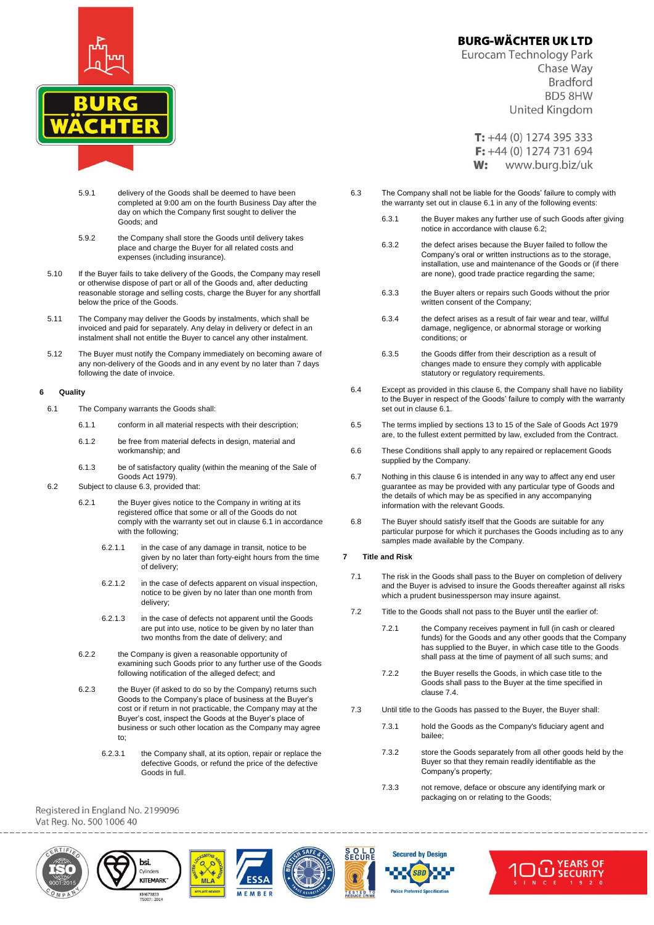

- 5.9.1 delivery of the Goods shall be deemed to have been completed at 9:00 am on the fourth Business Day after the day on which the Company first sought to deliver the Goods; and
- 5.9.2 the Company shall store the Goods until delivery takes place and charge the Buyer for all related costs and expenses (including insurance).
- 5.10 If the Buyer fails to take delivery of the Goods, the Company may resell or otherwise dispose of part or all of the Goods and, after deducting reasonable storage and selling costs, charge the Buyer for any shortfall below the price of the Goods.
- 5.11 The Company may deliver the Goods by instalments, which shall be invoiced and paid for separately. Any delay in delivery or defect in an instalment shall not entitle the Buyer to cancel any other instalment.
- 5.12 The Buyer must notify the Company immediately on becoming aware of any non-delivery of the Goods and in any event by no later than 7 days following the date of invoice.

## **6 Quality**

- 6.1 The Company warrants the Goods shall:
	- 6.1.1 conform in all material respects with their description;
	- 6.1.2 be free from material defects in design, material and workmanship; and
	- 6.1.3 be of satisfactory quality (within the meaning of the Sale of Goods Act 1979)
- 6.2 Subject to clause 6.3, provided that:
	- 6.2.1 the Buyer gives notice to the Company in writing at its registered office that some or all of the Goods do not comply with the warranty set out in clause 6.1 in accordance with the following;
		- 6.2.1.1 in the case of any damage in transit, notice to be given by no later than forty-eight hours from the time of delivery;
		- 6.2.1.2 in the case of defects apparent on visual inspection, notice to be given by no later than one month from delivery;
		- 6.2.1.3 in the case of defects not apparent until the Goods are put into use, notice to be given by no later than two months from the date of delivery; and
	- 6.2.2 the Company is given a reasonable opportunity of examining such Goods prior to any further use of the Goods following notification of the alleged defect; and
	- 6.2.3 the Buyer (if asked to do so by the Company) returns such Goods to the Company's place of business at the Buyer's cost or if return in not practicable, the Company may at the Buyer's cost, inspect the Goods at the Buyer's place of business or such other location as the Company may agree to;
		- 6.2.3.1 the Company shall, at its option, repair or replace the defective Goods, or refund the price of the defective Goods in full.

Registered in England No. 2199096 Vat Reg. No. 500 1006 40



Chase Way **Bradford BD5 8HW** United Kingdom

 $T: +44(0)$  1274 395 333  $F: +44(0)$  1274 731 694  $W:$ www.burg.biz/uk

- 6.3 The Company shall not be liable for the Goods' failure to comply with the warranty set out in clause 6.1 in any of the following events:
	- 6.3.1 the Buyer makes any further use of such Goods after giving notice in accordance with clause 6.2;
	- 6.3.2 the defect arises because the Buyer failed to follow the Company's oral or written instructions as to the storage, installation, use and maintenance of the Goods or (if there are none), good trade practice regarding the same;
	- 6.3.3 the Buyer alters or repairs such Goods without the prior written consent of the Company;
	- 6.3.4 the defect arises as a result of fair wear and tear, willful damage, negligence, or abnormal storage or working conditions; or
	- 6.3.5 the Goods differ from their description as a result of changes made to ensure they comply with applicable statutory or regulatory requirements.
- 6.4 Except as provided in this clause 6, the Company shall have no liability to the Buyer in respect of the Goods' failure to comply with the warranty set out in clause 6.1.
- 6.5 The terms implied by sections 13 to 15 of the Sale of Goods Act 1979 are, to the fullest extent permitted by law, excluded from the Contract.
- 6.6 These Conditions shall apply to any repaired or replacement Goods supplied by the Company.
- 6.7 Nothing in this clause 6 is intended in any way to affect any end user guarantee as may be provided with any particular type of Goods and the details of which may be as specified in any accompanying information with the relevant Goods.
- 6.8 The Buyer should satisfy itself that the Goods are suitable for any particular purpose for which it purchases the Goods including as to any samples made available by the Company.

#### **7 Title and Risk**

- 7.1 The risk in the Goods shall pass to the Buyer on completion of delivery and the Buyer is advised to insure the Goods thereafter against all risks which a prudent businessperson may insure against.
- 7.2 Title to the Goods shall not pass to the Buyer until the earlier of:
	- 7.2.1 the Company receives payment in full (in cash or cleared funds) for the Goods and any other goods that the Company has supplied to the Buyer, in which case title to the Goods shall pass at the time of payment of all such sums; and
	- 7.2.2 the Buyer resells the Goods, in which case title to the Goods shall pass to the Buyer at the time specified in clause 7.4.
- 7.3 Until title to the Goods has passed to the Buyer, the Buyer shall:
	- 7.3.1 hold the Goods as the Company's fiduciary agent and bailee;
	- 7.3.2 store the Goods separately from all other goods held by the Buyer so that they remain readily identifiable as the Company's property;
	- 7.3.3 not remove, deface or obscure any identifying mark or packaging on or relating to the Goods;









**SBL**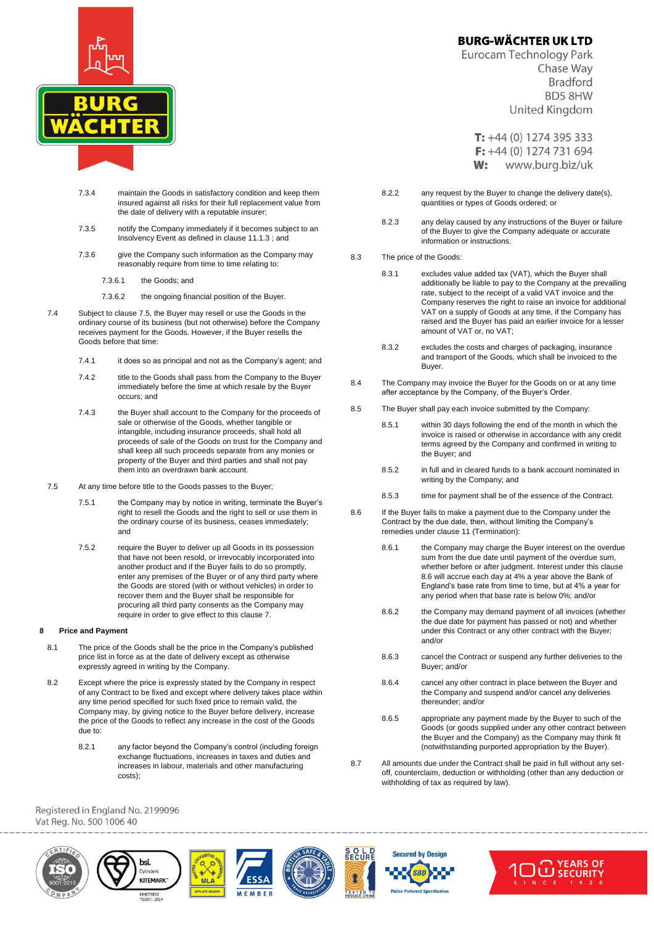

- 7.3.4 maintain the Goods in satisfactory condition and keep them insured against all risks for their full replacement value from the date of delivery with a reputable insurer;
- 7.3.5 notify the Company immediately if it becomes subject to an Insolvency Event as defined in clause 11.1.3 ; and
- 7.3.6 give the Company such information as the Company may reasonably require from time to time relating to:
	- 7.3.6.1 the Goods; and
	- 7.3.6.2 the ongoing financial position of the Buyer.
- 7.4 Subject to clause 7.5, the Buyer may resell or use the Goods in the ordinary course of its business (but not otherwise) before the Company receives payment for the Goods. However, if the Buyer resells the Goods before that time:
	- 7.4.1 it does so as principal and not as the Company's agent; and
	- 7.4.2 title to the Goods shall pass from the Company to the Buyer immediately before the time at which resale by the Buyer occurs; and
	- 7.4.3 the Buyer shall account to the Company for the proceeds of sale or otherwise of the Goods, whether tangible or intangible, including insurance proceeds, shall hold all proceeds of sale of the Goods on trust for the Company and shall keep all such proceeds separate from any monies or property of the Buyer and third parties and shall not pay them into an overdrawn bank account.
- 7.5 At any time before title to the Goods passes to the Buyer;
	- 7.5.1 the Company may by notice in writing, terminate the Buyer's right to resell the Goods and the right to sell or use them in the ordinary course of its business, ceases immediately; and
	- 7.5.2 require the Buyer to deliver up all Goods in its possession that have not been resold, or irrevocably incorporated into another product and if the Buyer fails to do so promptly, enter any premises of the Buyer or of any third party where the Goods are stored (with or without vehicles) in order to recover them and the Buyer shall be responsible for procuring all third party consents as the Company may require in order to give effect to this clause 7.

## **8 Price and Payment**

- 8.1 The price of the Goods shall be the price in the Company's published price list in force as at the date of delivery except as otherwise expressly agreed in writing by the Company.
- 8.2 Except where the price is expressly stated by the Company in respect of any Contract to be fixed and except where delivery takes place within any time period specified for such fixed price to remain valid, the Company may, by giving notice to the Buyer before delivery, increase the price of the Goods to reflect any increase in the cost of the Goods due to:
	- 8.2.1 any factor beyond the Company's control (including foreign exchange fluctuations, increases in taxes and duties and increases in labour, materials and other manufacturing costs);

**BURG-WÄCHTER UK LTD** 

Eurocam Technology Park Chase Way **Bradford BD5 8HW** United Kingdom

 $T: +44(0)$  1274 395 333  $F: +44(0)$  1274 731 694  $W:$ www.burg.biz/uk

- 8.2.2 any request by the Buyer to change the delivery date(s), quantities or types of Goods ordered; or
- 8.2.3 any delay caused by any instructions of the Buyer or failure of the Buyer to give the Company adequate or accurate information or instructions.
- 8.3 The price of the Goods:
	- 8.3.1 excludes value added tax (VAT), which the Buyer shall additionally be liable to pay to the Company at the prevailing rate, subject to the receipt of a valid VAT invoice and the Company reserves the right to raise an invoice for additional VAT on a supply of Goods at any time, if the Company has raised and the Buyer has paid an earlier invoice for a lesser amount of VAT or, no VAT;
	- 8.3.2 excludes the costs and charges of packaging, insurance and transport of the Goods, which shall be invoiced to the Buyer.
- 8.4 The Company may invoice the Buyer for the Goods on or at any time after acceptance by the Company, of the Buyer's Order.
- 8.5 The Buyer shall pay each invoice submitted by the Company:
	- 8.5.1 within 30 days following the end of the month in which the invoice is raised or otherwise in accordance with any credit terms agreed by the Company and confirmed in writing to the Buyer; and
	- 8.5.2 in full and in cleared funds to a bank account nominated in writing by the Company; and
	- 8.5.3 time for payment shall be of the essence of the Contract.
- 8.6 If the Buyer fails to make a payment due to the Company under the Contract by the due date, then, without limiting the Company's remedies under clause 11 (Termination):
	- 8.6.1 the Company may charge the Buyer interest on the overdue sum from the due date until payment of the overdue sum, whether before or after judgment. Interest under this clause 8.6 will accrue each day at 4% a year above the Bank of England's base rate from time to time, but at 4% a year for any period when that base rate is below 0%; and/or
	- 8.6.2 the Company may demand payment of all invoices (whether the due date for payment has passed or not) and whether under this Contract or any other contract with the Buyer; and/or
	- 8.6.3 cancel the Contract or suspend any further deliveries to the Buyer; and/or
	- 8.6.4 cancel any other contract in place between the Buyer and the Company and suspend and/or cancel any deliveries thereunder; and/or
	- 8.6.5 appropriate any payment made by the Buyer to such of the Goods (or goods supplied under any other contract between the Buyer and the Company) as the Company may think fit (notwithstanding purported appropriation by the Buyer).
- 8.7 All amounts due under the Contract shall be paid in full without any setoff, counterclaim, deduction or withholding (other than any deduction or withholding of tax as required by law).



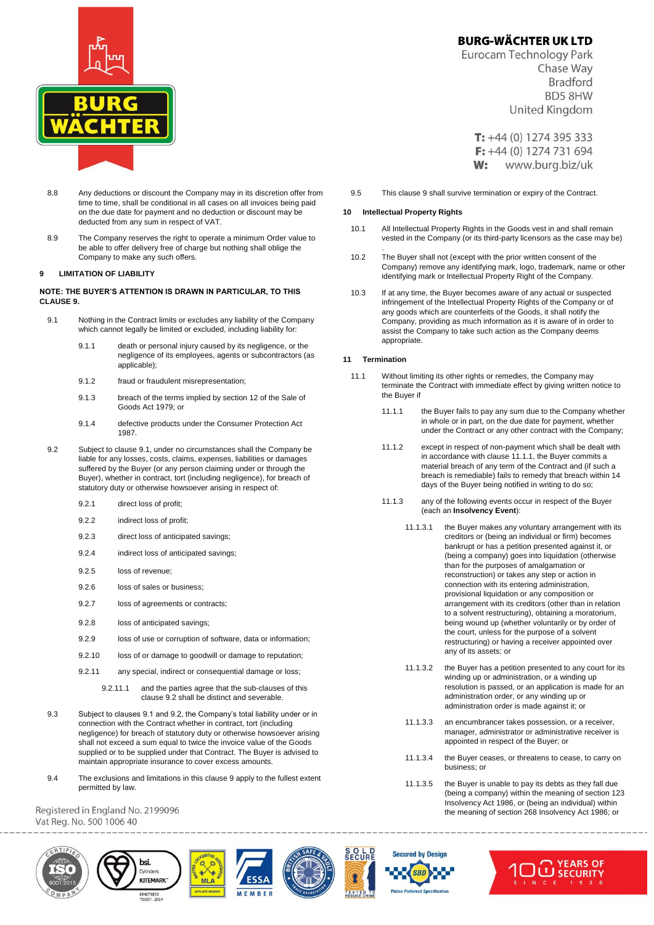

- 8.8 Any deductions or discount the Company may in its discretion offer from time to time, shall be conditional in all cases on all invoices being paid on the due date for payment and no deduction or discount may be deducted from any sum in respect of VAT.
- 8.9 The Company reserves the right to operate a minimum Order value to be able to offer delivery free of charge but nothing shall oblige the Company to make any such offers.

### **9 LIMITATION OF LIABILITY**

#### **NOTE: THE BUYER'S ATTENTION IS DRAWN IN PARTICULAR, TO THIS CLAUSE 9.**

- 9.1 Nothing in the Contract limits or excludes any liability of the Company which cannot legally be limited or excluded, including liability for:
	- 9.1.1 death or personal injury caused by its negligence, or the negligence of its employees, agents or subcontractors (as applicable);
	- 9.1.2 fraud or fraudulent misrepresentation;
	- 9.1.3 breach of the terms implied by section 12 of the Sale of Goods Act 1979; or
	- 9.1.4 defective products under the Consumer Protection Act 1987.
- 9.2 Subject to clause 9.1, under no circumstances shall the Company be liable for any losses, costs, claims, expenses, liabilities or damages suffered by the Buyer (or any person claiming under or through the Buyer), whether in contract, tort (including negligence), for breach of statutory duty or otherwise howsoever arising in respect of:
	- 9.2.1 direct loss of profit:
	- 9.2.2 indirect loss of profit;
	- 9.2.3 direct loss of anticipated savings;
	- 9.2.4 indirect loss of anticipated savings;
	- 9.2.5 loss of revenue;
	- 9.2.6 loss of sales or business:
	- 9.2.7 loss of agreements or contracts;
	- 9.2.8 loss of anticipated savings;
	- 9.2.9 loss of use or corruption of software, data or information;
	- 9.2.10 loss of or damage to goodwill or damage to reputation;
	- 9.2.11 any special, indirect or consequential damage or loss;
		- 9.2.11.1 and the parties agree that the sub-clauses of this clause 9.2 shall be distinct and severable.
- 9.3 Subject to clauses 9.1 and 9.2, the Company's total liability under or in connection with the Contract whether in contract, tort (including negligence) for breach of statutory duty or otherwise howsoever arising shall not exceed a sum equal to twice the invoice value of the Goods supplied or to be supplied under that Contract. The Buyer is advised to maintain appropriate insurance to cover excess amounts.
- 9.4 The exclusions and limitations in this clause 9 apply to the fullest extent permitted by law.

Registered in England No. 2199096 Vat Reg. No. 500 1006 40











# **BURG-WÄCHTER UK LTD**

Eurocam Technology Park Chase Way **Bradford BD5 8HW** United Kingdom

 $T: +44(0)$  1274 395 333  $F: +44(0)$  1274 731 694  $W:$ www.burg.biz/uk

9.5 This clause 9 shall survive termination or expiry of the Contract.

### **10 Intellectual Property Rights**

.

- 10.1 All Intellectual Property Rights in the Goods vest in and shall remain vested in the Company (or its third-party licensors as the case may be)
- 10.2 The Buyer shall not (except with the prior written consent of the Company) remove any identifying mark, logo, trademark, name or other identifying mark or Intellectual Property Right of the Company.
- 10.3 If at any time, the Buyer becomes aware of any actual or suspected infringement of the Intellectual Property Rights of the Company or of any goods which are counterfeits of the Goods, it shall notify the Company, providing as much information as it is aware of in order to assist the Company to take such action as the Company deems appropriate.

#### **11 Termination**

- 11.1 Without limiting its other rights or remedies, the Company may terminate the Contract with immediate effect by giving written notice to the Buyer if
	- 11.1.1 the Buyer fails to pay any sum due to the Company whether in whole or in part, on the due date for payment, whether under the Contract or any other contract with the Company;
	- 11.1.2 except in respect of non-payment which shall be dealt with in accordance with clause 11.1.1, the Buyer commits a material breach of any term of the Contract and (if such a breach is remediable) fails to remedy that breach within 14 days of the Buyer being notified in writing to do so;
	- 11.1.3 any of the following events occur in respect of the Buyer (each an **Insolvency Event**):
		- 11.1.3.1 the Buyer makes any voluntary arrangement with its creditors or (being an individual or firm) becomes bankrupt or has a petition presented against it, or (being a company) goes into liquidation (otherwise than for the purposes of amalgamation or reconstruction) or takes any step or action in connection with its entering administration, provisional liquidation or any composition or arrangement with its creditors (other than in relation to a solvent restructuring), obtaining a moratorium, being wound up (whether voluntarily or by order of the court, unless for the purpose of a solvent restructuring) or having a receiver appointed over any of its assets; or
		- 11.1.3.2 the Buyer has a petition presented to any court for its winding up or administration, or a winding up resolution is passed, or an application is made for an administration order, or any winding up or administration order is made against it; or
		- 11.1.3.3 an encumbrancer takes possession, or a receiver, manager, administrator or administrative receiver is appointed in respect of the Buyer; or
		- 11.1.3.4 the Buyer ceases, or threatens to cease, to carry on business; or
		- 11.1.3.5 the Buyer is unable to pay its debts as they fall due (being a company) within the meaning of section 123 Insolvency Act 1986, or (being an individual) within the meaning of section 268 Insolvency Act 1986; or